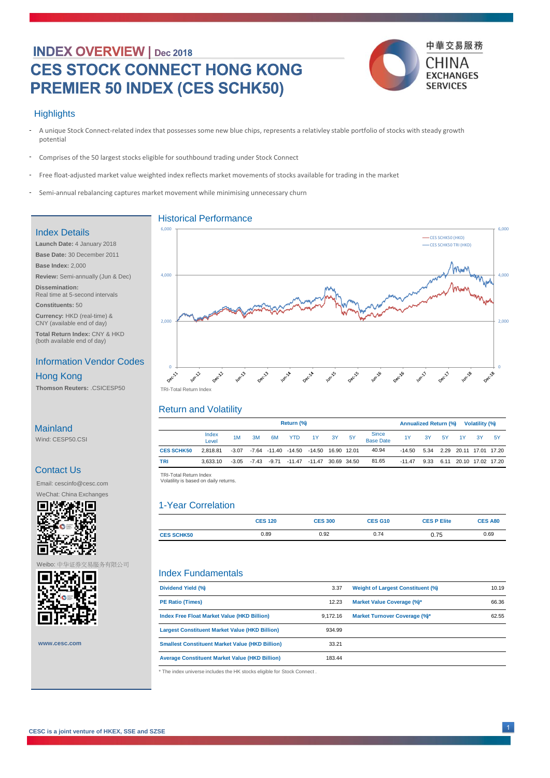# **INDEX OVERVIEW** | Dec 2018 **CES STOCK CONNECT HONG KONG PREMIER 50 INDEX (CES SCHK50)**



#### **Highlights**

- A unique Stock Connect-related index that possesses some new blue chips, represents a relativley stable portfolio of stocks with steady growth potential -
- Comprises of the 50 largest stocks eligible for southbound trading under Stock Connect -
- Free float-adjusted market value weighted index reflects market movements of stocks available for trading in the market -
- Semi-annual rebalancing captures market movement while minimising unnecessary churn -

#### Index Details

**Launch Date:** 4 January 2018 **Base Date:** 30 December 2011 **Base Index:** 2,000 **Review:** Semi-annually (Jun & Dec) **Dissemination:**  Real time at 5-second intervals **Constituents:** 50 **Currency:** HKD (real-time) &

CNY (available end of day) **Total Return Index:** CNY & HKD (both available end of day)

### Information Vendor Codes

Hong Kong

**Thomson Reuters:** .CSICESP50

## **Mainland**

Wind: CESP50.CSI

### Contact Us

Email: cescinfo@cesc.com



#### Weibo: 中华证券交易服务有限公司



**www.cesc.com**



#### Return and Volatility

|                   | Return (%)     |         |    |    |                                                         |                    |    |     | <b>Annualized Return (%)</b><br>Volatility (%) |                                         |    |      |                             |     |     |
|-------------------|----------------|---------|----|----|---------------------------------------------------------|--------------------|----|-----|------------------------------------------------|-----------------------------------------|----|------|-----------------------------|-----|-----|
|                   | Index<br>Level | 1M      | 3M | 6M | <b>YTD</b>                                              | 1Y                 | 3Y | -5Y | Since<br>Base Date                             | 1Y                                      | 3Y | - 5Y | 1Y                          | -3Y | -5Y |
| <b>CES SCHK50</b> | 2.818.81       | $-3.07$ |    |    | -7.64 -11.40 -14.50                                     | -14.50 16.90 12.01 |    |     | 40.94                                          | -14.50  5.34  2.29  20.11  17.01  17.20 |    |      |                             |     |     |
| TRI               | 3.633.10       |         |    |    | $-3.05$ $-7.43$ $-9.71$ $-11.47$ $-11.47$ $30.69$ 34.50 |                    |    |     | 81.65                                          | $-11.47$                                |    |      | 9.33 6.11 20.10 17.02 17.20 |     |     |
|                   |                |         |    |    |                                                         |                    |    |     |                                                |                                         |    |      |                             |     |     |

 TRI -Total Return Index TRI-Total Return Index Volatility is based on daily returns. Volatility is based on daily returns.

#### 1-Year Correlation

|                   | <b>CES 120</b> | <b>CES 300</b> | <b>CES G10</b> | <b>CES P Elite</b> | <b>CES A80</b> |
|-------------------|----------------|----------------|----------------|--------------------|----------------|
| <b>CES SCHK50</b> | 0.89           | 0.92           | 0.74           | 0.75               | 0.69           |

#### Index Fundamentals

| 3.37<br>Dividend Yield (%)                                      | <b>Weight of Largest Constituent (%)</b> | 10.19 |
|-----------------------------------------------------------------|------------------------------------------|-------|
| 12.23<br><b>PE Ratio (Times)</b>                                | Market Value Coverage (%)*               | 66.36 |
| Index Free Float Market Value (HKD Billion)<br>9.172.16         | Market Turnover Coverage (%)*            | 62.55 |
| 934.99<br><b>Largest Constituent Market Value (HKD Billion)</b> |                                          |       |
| 33.21<br><b>Smallest Constituent Market Value (HKD Billion)</b> |                                          |       |
| 183.44<br><b>Average Constituent Market Value (HKD Billion)</b> |                                          |       |

\* The index universe includes the HK stocks eligible for Stock Connect .